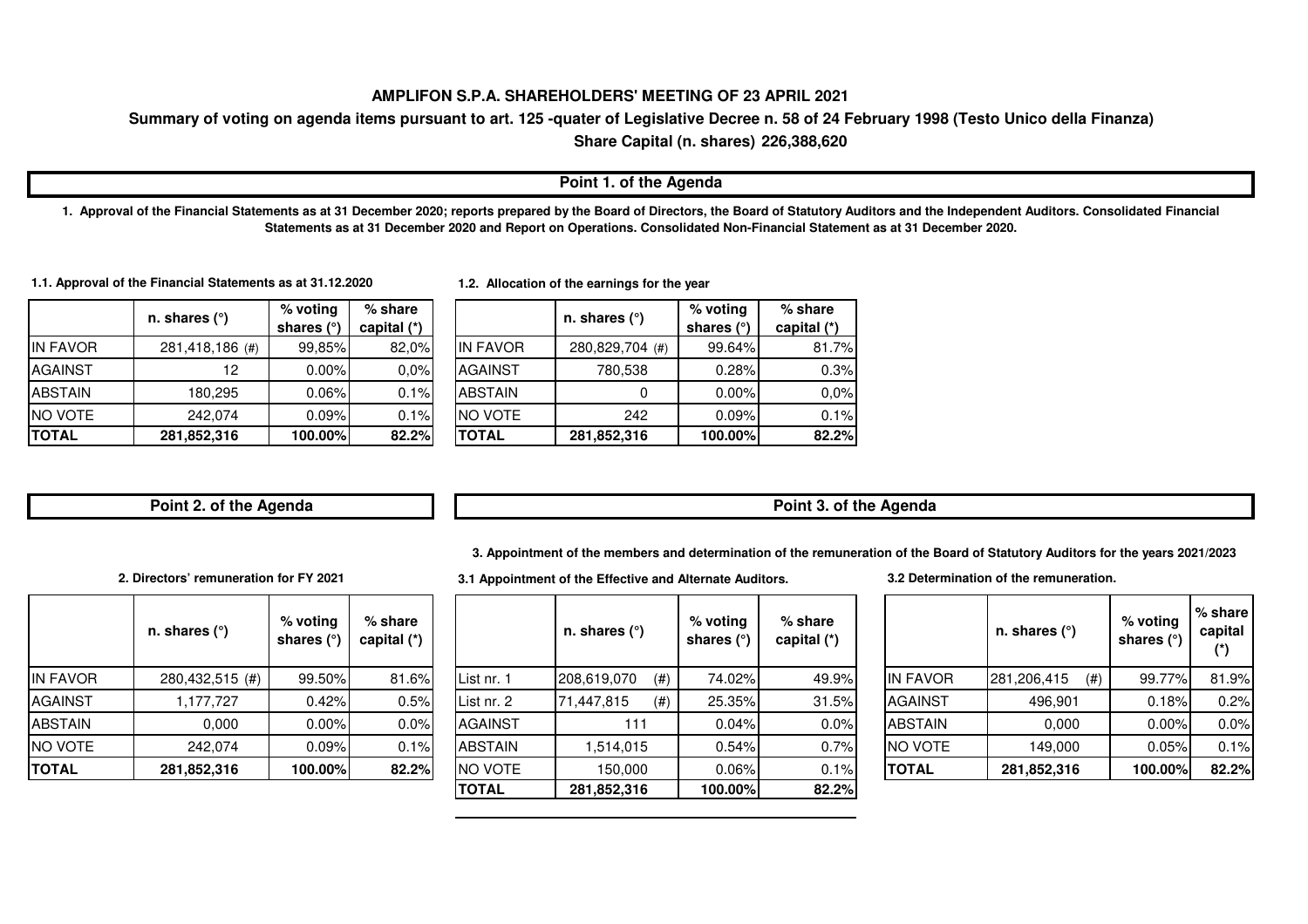#### **AMPLIFON S.P.A. SHAREHOLDERS' MEETING OF 23 APRIL 2021**

# **Summary of voting on agenda items pursuant to art. 125 -quater of Legislative Decree n. 58 of 24 February 1998 (Testo Unico della Finanza)**

**226,388,620Share Capital (n. shares)**

#### **Point 1. of the Agenda**

**1. Approval of the Financial Statements as at 31 December 2020; reports prepared by the Board of Directors, the Board of Statutory Auditors and the Independent Auditors. Consolidated Financial Statements as at 31 December 2020 and Report on Operations. Consolidated Non-Financial Statement as at 31 December 2020.** 

**1.1. Approval of the Financial Statements as at 31.12.2020**

|                 | n. shares $(°)$ | $%$ voting<br>shares $(°)$ | $%$ share<br>capital $(*)$ |                 | n. shares $(°)$ | $%$ voting<br>shares $(°)$ | $%$ share<br>capital $(*)$ |
|-----------------|-----------------|----------------------------|----------------------------|-----------------|-----------------|----------------------------|----------------------------|
| <b>IN FAVOR</b> | 281,418,186 (#) | 99,85%                     | 82,0%                      | <b>IN FAVOR</b> | 280,829,704 (#) | 99.64%                     | 81.7%                      |
| <b>AGAINST</b>  | 12              | $0.00\%$                   | 0.0%                       | <b>AGAINST</b>  | 780,538         | 0.28%                      | 0.3%                       |
| <b>ABSTAIN</b>  | 180.295         | $0.06\%$                   | 0.1%                       | <b>ABSTAIN</b>  |                 | $0.00\%$                   | 0.0%                       |
| <b>NO VOTE</b>  | 242.074         | 0.09%                      | 0.1%                       | <b>INO VOTE</b> | 242             | 0.09%                      | 0.1%                       |
| <b>TOTAL</b>    | 281,852,316     | 100.00%                    | 82.2%                      | <b>TOTAL</b>    | 281,852,316     | 100.00%                    | 82.2%                      |

**1.2. Allocation of the earnings for the year**

|                | % voting     | $%$ share   |                 | n. shares $(°)$ | % voting     | $%$ share   |
|----------------|--------------|-------------|-----------------|-----------------|--------------|-------------|
|                | shares $(°)$ | capital (*) |                 |                 | shares $(°)$ | capital (*) |
| 6(#)           | 99,85%       | 82,0%       | <b>IN FAVOR</b> | 280,829,704 (#) | 99.64%       | 81.7%       |
| $\overline{c}$ | 0.00%        | 0,0%        | <b>AGAINST</b>  | 780,538         | 0.28%        | 0.3%        |
| 5              | $0.06\%$     | 0.1%        | <b>ABSTAIN</b>  |                 | $0.00\%$     | 0.0%        |
| 4              | 0.09%        | 0.1%        | <b>NO VOTE</b>  | 242             | 0.09%        | 0.1%        |
| 6              | 100.00%      | 82.2%       | <b>TOTAL</b>    | 281,852,316     | 100.00%      | 82.2%       |
|                |              |             |                 |                 |              |             |

**Point 2. of the Agenda**

**Point 3. of the Agenda**

**3. Appointment of the members and determination of the remuneration of the Board of Statutory Auditors for the years 2021/2023** 

**2. Directors' remuneration for FY 2021**

|                 | n. shares $(°)$ | % voting<br>shares (°) | $%$ share<br>capital (*) |
|-----------------|-----------------|------------------------|--------------------------|
| <b>IN FAVOR</b> | 280,432,515 (#) | 99.50%                 | 81.6%                    |
| <b>AGAINST</b>  | 1,177,727       | 0.42%                  | 0.5%                     |
| <b>ABSTAIN</b>  | 0,000           | $0.00\%$               | 0.0%                     |
| NO VOTE         | 242,074         | 0.09%                  | 0.1%                     |
| <b>TOTAL</b>    | 281,852,316     | 100.00%                | 82.2%                    |

|          | n. shares $(°)$ | % voting<br>shares $(°)$ | $%$ share<br>capital (*) |                | n. shares $(°)$     | $%$ voting<br>shares (°) | $%$ share<br>capital (*) |                 | n. shares $(°)$    | $%$ voting<br>shares $(°)$ | % share<br>capital |
|----------|-----------------|--------------------------|--------------------------|----------------|---------------------|--------------------------|--------------------------|-----------------|--------------------|----------------------------|--------------------|
| IN FAVOR | 280,432,515 (#) | 99.50%                   | 81.6%                    | lList nr. 1    | 208,619,070<br>(# ) | 74.02%                   | 49.9%                    | <b>IN FAVOR</b> | 281,206,415<br>(#) | 99.77%                     | 81.9%              |
| AGAINST  | 1.177.727       | 0.42%                    | 0.5%                     | List nr. 2     | 71,447,815<br>(# )  | 25.35%                   | 31.5%                    | <b>AGAINST</b>  | 496,901            | 0.18%                      | 0.2%               |
| ABSTAIN  | 0,000           | 0.00%                    | 0.0%                     | <b>AGAINST</b> | 111                 | 0.04%                    | 0.0%                     | <b>ABSTAIN</b>  | 0,000              | 0.00%                      | 0.0%               |
| NO VOTE  | 242.074         | 0.09%                    | 0.1%                     | <b>ABSTAIN</b> | .514,015            | 0.54%                    | 0.7%                     | NO VOTE         | 149,000            | 0.05%                      | 0.1%               |
| TOTAL    | 281,852,316     | 100.00%                  | 82.2%                    | <b>NO VOTE</b> | 150,000             | 0.06%                    | 0.1%                     | <b>TOTAL</b>    | 281,852,316        | 100.00%                    | 82.2%              |
|          |                 |                          |                          | <b>TOTAL</b>   | 281,852,316         | 100.00%                  | 82.2%                    |                 |                    |                            |                    |

**3.1 Appointment of the Effective and Alternate Auditors.**

**3.2 Determination of the remuneration.**

|                 | n. shares (°)         | % voting<br>shares (°) | % share<br>capital<br>(*) |
|-----------------|-----------------------|------------------------|---------------------------|
| <b>IN FAVOR</b> | 281,206,415<br>$(\#)$ | 99.77%                 | 81.9%                     |
| <b>AGAINST</b>  | 496,901               | 0.18%                  | 0.2%                      |
| <b>ABSTAIN</b>  | 0,000                 | 0.00%                  | 0.0%                      |
| NO VOTE         | 149,000               | 0.05%                  | 0.1%                      |
| <b>TOTAL</b>    | 281,852,316           | 100.00%                | 82.2%                     |